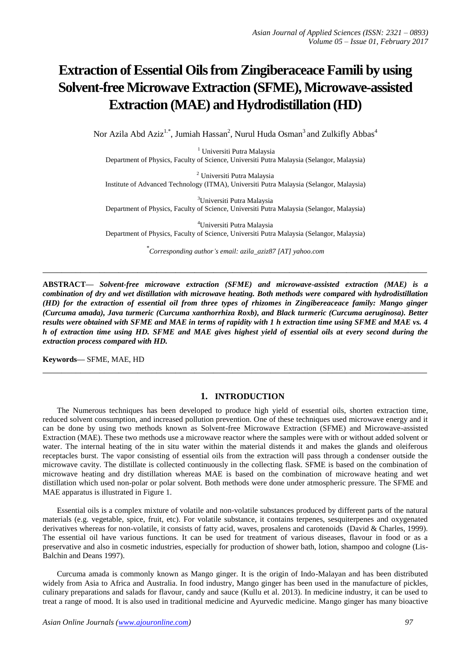# **Extraction of Essential Oils from Zingiberaceace Famili by using Solvent-free Microwave Extraction (SFME), Microwave-assisted Extraction (MAE) and Hydrodistillation (HD)**

Nor Azila Abd Aziz<sup>1.\*</sup>, Jumiah Hassan<sup>2</sup>, Nurul Huda Osman<sup>3</sup> and Zulkifly Abbas<sup>4</sup>

<sup>1</sup> Universiti Putra Malaysia Department of Physics, Faculty of Science, Universiti Putra Malaysia (Selangor, Malaysia)

<sup>2</sup> Universiti Putra Malaysia Institute of Advanced Technology (ITMA), Universiti Putra Malaysia (Selangor, Malaysia)

<sup>3</sup>Universiti Putra Malaysia Department of Physics, Faculty of Science, Universiti Putra Malaysia (Selangor, Malaysia)

<sup>4</sup>Universiti Putra Malaysia Department of Physics, Faculty of Science, Universiti Putra Malaysia (Selangor, Malaysia)

\* *Corresponding author's email: azila\_aziz87 [AT] yahoo.com*

**\_\_\_\_\_\_\_\_\_\_\_\_\_\_\_\_\_\_\_\_\_\_\_\_\_\_\_\_\_\_\_\_\_\_\_\_\_\_\_\_\_\_\_\_\_\_\_\_\_\_\_\_\_\_\_\_\_\_\_\_\_\_\_\_\_\_\_\_\_\_\_\_\_\_\_\_\_\_\_\_\_**

**ABSTRACT—** *Solvent-free microwave extraction (SFME) and microwave-assisted extraction (MAE) is a combination of dry and wet distillation with microwave heating. Both methods were compared with hydrodistillation (HD) for the extraction of essential oil from three types of rhizomes in Zingibereaceace family: Mango ginger (Curcuma amada), Java turmeric (Curcuma xanthorrhiza Roxb), and Black turmeric (Curcuma aeruginosa). Better results were obtained with SFME and MAE in terms of rapidity with 1 h extraction time using SFME and MAE vs. 4 h of extraction time using HD. SFME and MAE gives highest yield of essential oils at every second during the extraction process compared with HD.*

**\_\_\_\_\_\_\_\_\_\_\_\_\_\_\_\_\_\_\_\_\_\_\_\_\_\_\_\_\_\_\_\_\_\_\_\_\_\_\_\_\_\_\_\_\_\_\_\_\_\_\_\_\_\_\_\_\_\_\_\_\_\_\_\_\_\_\_\_\_\_\_\_\_\_\_\_\_\_\_\_\_**

**Keywords—** SFME, MAE, HD

## **1. INTRODUCTION**

The Numerous techniques has been developed to produce high yield of essential oils, shorten extraction time, reduced solvent consumption, and increased pollution prevention. One of these techniques used microwave energy and it can be done by using two methods known as Solvent-free Microwave Extraction (SFME) and Microwave-assisted Extraction (MAE). These two methods use a microwave reactor where the samples were with or without added solvent or water. The internal heating of the in situ water within the material distends it and makes the glands and oleiferous receptacles burst. The vapor consisting of essential oils from the extraction will pass through a condenser outside the microwave cavity. The distillate is collected continuously in the collecting flask. SFME is based on the combination of microwave heating and dry distillation whereas MAE is based on the combination of microwave heating and wet distillation which used non-polar or polar solvent. Both methods were done under atmospheric pressure. The SFME and MAE apparatus is illustrated in Figure 1.

Essential oils is a complex mixture of volatile and non-volatile substances produced by different parts of the natural materials (e.g. vegetable, spice, fruit, etc). For volatile substance, it contains terpenes, sesquiterpenes and oxygenated derivatives whereas for non-volatile, it consists of fatty acid, waves, prosalens and carotenoids (David & Charles, 1999). The essential oil have various functions. It can be used for treatment of various diseases, flavour in food or as a preservative and also in cosmetic industries, especially for production of shower bath, lotion, shampoo and cologne (Lis-Balchin and Deans 1997).

Curcuma amada is commonly known as Mango ginger. It is the origin of Indo-Malayan and has been distributed widely from Asia to Africa and Australia. In food industry, Mango ginger has been used in the manufacture of pickles, culinary preparations and salads for flavour, candy and sauce (Kullu et al. 2013). In medicine industry, it can be used to treat a range of mood. It is also used in traditional medicine and Ayurvedic medicine. Mango ginger has many bioactive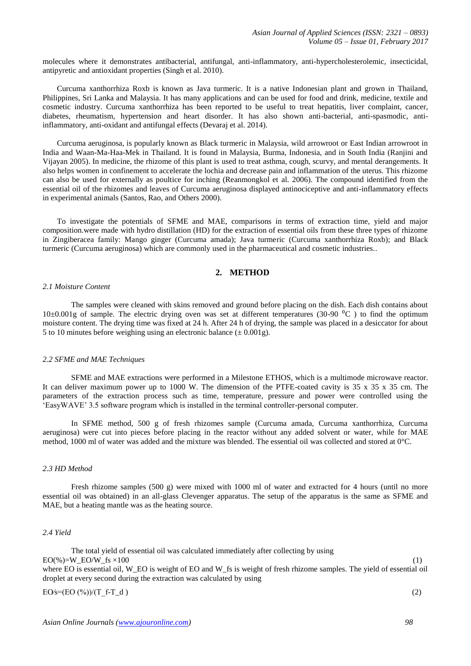molecules where it demonstrates antibacterial, antifungal, anti-inflammatory, anti-hypercholesterolemic, insecticidal, antipyretic and antioxidant properties (Singh et al. 2010).

Curcuma xanthorrhiza Roxb is known as Java turmeric. It is a native Indonesian plant and grown in Thailand, Philippines, Sri Lanka and Malaysia. It has many applications and can be used for food and drink, medicine, textile and cosmetic industry. Curcuma xanthorrhiza has been reported to be useful to treat hepatitis, liver complaint, cancer, diabetes, rheumatism, hypertension and heart disorder. It has also shown anti-bacterial, anti-spasmodic, antiinflammatory, anti-oxidant and antifungal effects (Devaraj et al. 2014).

Curcuma aeruginosa, is popularly known as Black turmeric in Malaysia, wild arrowroot or East Indian arrowroot in India and Waan-Ma-Haa-Mek in Thailand. It is found in Malaysia, Burma, Indonesia, and in South India (Ranjini and Vijayan 2005). In medicine, the rhizome of this plant is used to treat asthma, cough, scurvy, and mental derangements. It also helps women in confinement to accelerate the lochia and decrease pain and inflammation of the uterus. This rhizome can also be used for externally as poultice for inching (Reanmongkol et al. 2006). The compound identified from the essential oil of the rhizomes and leaves of Curcuma aeruginosa displayed antinociceptive and anti-inflammatory effects in experimental animals (Santos, Rao, and Others 2000).

To investigate the potentials of SFME and MAE, comparisons in terms of extraction time, yield and major composition.were made with hydro distillation (HD) for the extraction of essential oils from these three types of rhizome in Zingiberacea family: Mango ginger (Curcuma amada); Java turmeric (Curcuma xanthorrhiza Roxb); and Black turmeric (Curcuma aeruginosa) which are commonly used in the pharmaceutical and cosmetic industries..

# **2. METHOD**

#### *2.1 Moisture Content*

The samples were cleaned with skins removed and ground before placing on the dish. Each dish contains about 10 $\pm$ 0.001g of sample. The electric drying oven was set at different temperatures (30-90  $^{\circ}$ C) to find the optimum moisture content. The drying time was fixed at 24 h. After 24 h of drying, the sample was placed in a desiccator for about 5 to 10 minutes before weighing using an electronic balance  $(\pm 0.001g)$ .

## *2.2 SFME and MAE Techniques*

SFME and MAE extractions were performed in a Milestone ETHOS, which is a multimode microwave reactor. It can deliver maximum power up to 1000 W. The dimension of the PTFE-coated cavity is  $35 \times 35 \times 35$  cm. The parameters of the extraction process such as time, temperature, pressure and power were controlled using the 'EasyWAVE' 3.5 software program which is installed in the terminal controller-personal computer.

In SFME method, 500 g of fresh rhizomes sample (Curcuma amada, Curcuma xanthorrhiza, Curcuma aeruginosa) were cut into pieces before placing in the reactor without any added solvent or water, while for MAE method, 1000 ml of water was added and the mixture was blended. The essential oil was collected and stored at 0°C.

#### *2.3 HD Method*

Fresh rhizome samples (500 g) were mixed with 1000 ml of water and extracted for 4 hours (until no more essential oil was obtained) in an all-glass Clevenger apparatus. The setup of the apparatus is the same as SFME and MAE, but a heating mantle was as the heating source.

## *2.4 Yield*

The total yield of essential oil was calculated immediately after collecting by using  $EO(\%)=W$  EO/W fs ×100 (1) where EO is essential oil, W\_EO is weight of EO and W\_fs is weight of fresh rhizome samples. The yield of essential oil droplet at every second during the extraction was calculated by using

#### $EOs = (EO (%))/(T-f-T_d)$  (2)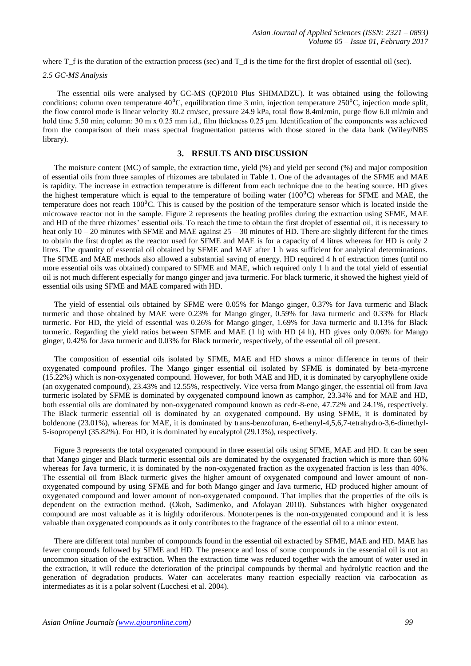where  $T_f$  is the duration of the extraction process (sec) and  $T_d$  is the time for the first droplet of essential oil (sec).

#### *2.5 GC-MS Analysis*

The essential oils were analysed by GC-MS (QP2010 Plus SHIMADZU). It was obtained using the following conditions: column oven temperature  $40\text{°C}$ , equilibration time 3 min, injection temperature 250 $\text{°C}$ , injection mode split, the flow control mode is linear velocity 30.2 cm/sec, pressure 24.9 kPa, total flow 8.4ml/min, purge flow 6.0 ml/min and hold time 5.50 min; column: 30 m x 0.25 mm i.d., film thickness 0.25 μm. Identification of the components was achieved from the comparison of their mass spectral fragmentation patterns with those stored in the data bank (Wiley/NBS library).

# **3. RESULTS AND DISCUSSION**

The moisture content (MC) of sample, the extraction time, yield (%) and yield per second (%) and major composition of essential oils from three samples of rhizomes are tabulated in Table 1. One of the advantages of the SFME and MAE is rapidity. The increase in extraction temperature is different from each technique due to the heating source. HD gives the highest temperature which is equal to the temperature of boiling water  $(100^{\circ}C)$  whereas for SFME and MAE, the temperature does not reach  $100^{\circ}$ C. This is caused by the position of the temperature sensor which is located inside the microwave reactor not in the sample. Figure 2 represents the heating profiles during the extraction using SFME, MAE and HD of the three rhizomes' essential oils. To reach the time to obtain the first droplet of essential oil, it is necessary to heat only  $10 - 20$  minutes with SFME and MAE against  $25 - 30$  minutes of HD. There are slightly different for the times to obtain the first droplet as the reactor used for SFME and MAE is for a capacity of 4 litres whereas for HD is only 2 litres. The quantity of essential oil obtained by SFME and MAE after 1 h was sufficient for analytical determinations. The SFME and MAE methods also allowed a substantial saving of energy. HD required 4 h of extraction times (until no more essential oils was obtained) compared to SFME and MAE, which required only 1 h and the total yield of essential oil is not much different especially for mango ginger and java turmeric. For black turmeric, it showed the highest yield of essential oils using SFME and MAE compared with HD.

The yield of essential oils obtained by SFME were 0.05% for Mango ginger, 0.37% for Java turmeric and Black turmeric and those obtained by MAE were 0.23% for Mango ginger, 0.59% for Java turmeric and 0.33% for Black turmeric. For HD, the yield of essential was 0.26% for Mango ginger, 1.69% for Java turmeric and 0.13% for Black turmeric. Regarding the yield ratios between SFME and MAE (1 h) with HD (4 h), HD gives only 0.06% for Mango ginger, 0.42% for Java turmeric and 0.03% for Black turmeric, respectively, of the essential oil oil present.

The composition of essential oils isolated by SFME, MAE and HD shows a minor difference in terms of their oxygenated compound profiles. The Mango ginger essential oil isolated by SFME is dominated by beta-myrcene (15.22%) which is non-oxygenated compound. However, for both MAE and HD, it is dominated by caryophyllene oxide (an oxygenated compound), 23.43% and 12.55%, respectively. Vice versa from Mango ginger, the essential oil from Java turmeric isolated by SFME is dominated by oxygenated compound known as camphor, 23.34% and for MAE and HD, both essential oils are dominated by non-oxygenated compound known as cedr-8-ene, 47.72% and 24.1%, respectively. The Black turmeric essential oil is dominated by an oxygenated compound. By using SFME, it is dominated by boldenone (23.01%), whereas for MAE, it is dominated by trans-benzofuran, 6-ethenyl-4,5,6,7-tetrahydro-3,6-dimethyl-5-isopropenyl (35.82%). For HD, it is dominated by eucalyptol (29.13%), respectively.

Figure 3 represents the total oxygenated compound in three essential oils using SFME, MAE and HD. It can be seen that Mango ginger and Black turmeric essential oils are dominated by the oxygenated fraction which is more than 60% whereas for Java turmeric, it is dominated by the non-oxygenated fraction as the oxygenated fraction is less than 40%. The essential oil from Black turmeric gives the higher amount of oxygenated compound and lower amount of nonoxygenated compound by using SFME and for both Mango ginger and Java turmeric, HD produced higher amount of oxygenated compound and lower amount of non-oxygenated compound. That implies that the properties of the oils is dependent on the extraction method. (Okoh, Sadimenko, and Afolayan 2010). Substances with higher oxygenated compound are most valuable as it is highly odoriferous. Monoterpenes is the non-oxygenated compound and it is less valuable than oxygenated compounds as it only contributes to the fragrance of the essential oil to a minor extent.

There are different total number of compounds found in the essential oil extracted by SFME, MAE and HD. MAE has fewer compounds followed by SFME and HD. The presence and loss of some compounds in the essential oil is not an uncommon situation of the extraction. When the extraction time was reduced together with the amount of water used in the extraction, it will reduce the deterioration of the principal compounds by thermal and hydrolytic reaction and the generation of degradation products. Water can accelerates many reaction especially reaction via carbocation as intermediates as it is a polar solvent (Lucchesi et al. 2004).